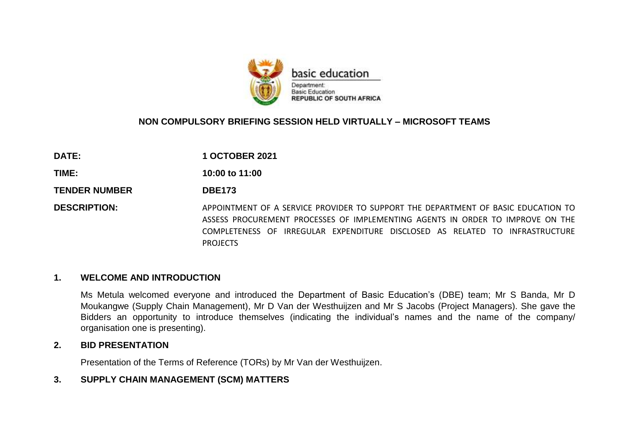

### **NON COMPULSORY BRIEFING SESSION HELD VIRTUALLY – MICROSOFT TEAMS**

| <b>DATE:</b>         | <b>1 OCTOBER 2021</b>                                                                                                                                                                                                                                                  |  |
|----------------------|------------------------------------------------------------------------------------------------------------------------------------------------------------------------------------------------------------------------------------------------------------------------|--|
| TIME:                | 10:00 to 11:00                                                                                                                                                                                                                                                         |  |
| <b>TENDER NUMBER</b> | <b>DBE173</b>                                                                                                                                                                                                                                                          |  |
| <b>DESCRIPTION:</b>  | APPOINTMENT OF A SERVICE PROVIDER TO SUPPORT THE DEPARTMENT OF BASIC EDUCATION TO<br>ASSESS PROCUREMENT PROCESSES OF IMPLEMENTING AGENTS IN ORDER TO IMPROVE ON THE<br>COMPLETENESS OF IRREGULAR EXPENDITURE DISCLOSED AS RELATED TO INFRASTRUCTURE<br><b>PROJECTS</b> |  |

#### **1. WELCOME AND INTRODUCTION**

Ms Metula welcomed everyone and introduced the Department of Basic Education's (DBE) team; Mr S Banda, Mr D Moukangwe (Supply Chain Management), Mr D Van der Westhuijzen and Mr S Jacobs (Project Managers). She gave the Bidders an opportunity to introduce themselves (indicating the individual's names and the name of the company/ organisation one is presenting).

#### **2. BID PRESENTATION**

Presentation of the Terms of Reference (TORs) by Mr Van der Westhuijzen.

### **3. SUPPLY CHAIN MANAGEMENT (SCM) MATTERS**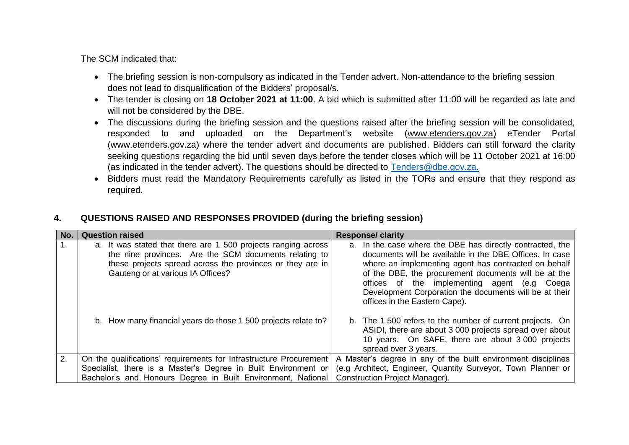The SCM indicated that:

- The briefing session is non-compulsory as indicated in the Tender advert. Non-attendance to the briefing session does not lead to disqualification of the Bidders' proposal/s.
- The tender is closing on **18 October 2021 at 11:00**. A bid which is submitted after 11:00 will be regarded as late and will not be considered by the DBE.
- The discussions during the briefing session and the questions raised after the briefing session will be consolidated, responded to and uploaded on the Department's website [\(www.etenders.gov.za\)](http://www.etenders.gov.za/) eTender Portal [\(www.etenders.gov.za\)](http://www.etenders.gov.za/) where the tender advert and documents are published. Bidders can still forward the clarity seeking questions regarding the bid until seven days before the tender closes which will be 11 October 2021 at 16:00 (as indicated in the tender advert). The questions should be directed to [Tenders@dbe.gov.za.](mailto:Tenders@dbe.gov.za)
- Bidders must read the Mandatory Requirements carefully as listed in the TORs and ensure that they respond as required.

### **4. QUESTIONS RAISED AND RESPONSES PROVIDED (during the briefing session)**

| No. | <b>Question raised</b>                                                                                                                                                                                                   | <b>Response/ clarity</b>                                                                                                                                                                                                                                                                                                                                                        |  |
|-----|--------------------------------------------------------------------------------------------------------------------------------------------------------------------------------------------------------------------------|---------------------------------------------------------------------------------------------------------------------------------------------------------------------------------------------------------------------------------------------------------------------------------------------------------------------------------------------------------------------------------|--|
|     | a. It was stated that there are 1 500 projects ranging across<br>the nine provinces. Are the SCM documents relating to<br>these projects spread across the provinces or they are in<br>Gauteng or at various IA Offices? | a. In the case where the DBE has directly contracted, the<br>documents will be available in the DBE Offices. In case<br>where an implementing agent has contracted on behalf<br>of the DBE, the procurement documents will be at the<br>offices of the implementing agent (e.g Coega<br>Development Corporation the documents will be at their<br>offices in the Eastern Cape). |  |
|     | b. How many financial years do those 1 500 projects relate to?                                                                                                                                                           | b. The 1 500 refers to the number of current projects. On<br>ASIDI, there are about 3 000 projects spread over about<br>10 years. On SAFE, there are about 3000 projects<br>spread over 3 years.                                                                                                                                                                                |  |
| 2.  | On the qualifications' requirements for Infrastructure Procurement                                                                                                                                                       | A Master's degree in any of the built environment disciplines                                                                                                                                                                                                                                                                                                                   |  |
|     | Specialist, there is a Master's Degree in Built Environment or                                                                                                                                                           | (e.g Architect, Engineer, Quantity Surveyor, Town Planner or                                                                                                                                                                                                                                                                                                                    |  |
|     | Bachelor's and Honours Degree in Built Environment, National                                                                                                                                                             | <b>Construction Project Manager).</b>                                                                                                                                                                                                                                                                                                                                           |  |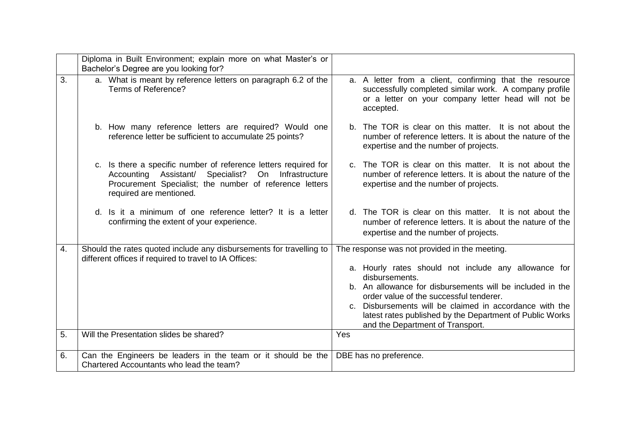|    | Diploma in Built Environment; explain more on what Master's or<br>Bachelor's Degree are you looking for?                                                                                                              |                                                                                                                                                                                                                                                                                                                                           |
|----|-----------------------------------------------------------------------------------------------------------------------------------------------------------------------------------------------------------------------|-------------------------------------------------------------------------------------------------------------------------------------------------------------------------------------------------------------------------------------------------------------------------------------------------------------------------------------------|
| 3. | a. What is meant by reference letters on paragraph 6.2 of the<br>Terms of Reference?                                                                                                                                  | a. A letter from a client, confirming that the resource<br>successfully completed similar work. A company profile<br>or a letter on your company letter head will not be<br>accepted.                                                                                                                                                     |
|    | b. How many reference letters are required? Would one<br>reference letter be sufficient to accumulate 25 points?                                                                                                      | b. The TOR is clear on this matter. It is not about the<br>number of reference letters. It is about the nature of the<br>expertise and the number of projects.                                                                                                                                                                            |
|    | Is there a specific number of reference letters required for<br>C.<br>Specialist?<br>On Infrastructure<br>Accounting Assistant/<br>Procurement Specialist; the number of reference letters<br>required are mentioned. | c. The TOR is clear on this matter. It is not about the<br>number of reference letters. It is about the nature of the<br>expertise and the number of projects.                                                                                                                                                                            |
|    | Is it a minimum of one reference letter? It is a letter<br>d.<br>confirming the extent of your experience.                                                                                                            | d. The TOR is clear on this matter. It is not about the<br>number of reference letters. It is about the nature of the<br>expertise and the number of projects.                                                                                                                                                                            |
| 4. | Should the rates quoted include any disbursements for travelling to<br>different offices if required to travel to IA Offices:                                                                                         | The response was not provided in the meeting.                                                                                                                                                                                                                                                                                             |
|    |                                                                                                                                                                                                                       | a. Hourly rates should not include any allowance for<br>disbursements.<br>b. An allowance for disbursements will be included in the<br>order value of the successful tenderer.<br>c. Disbursements will be claimed in accordance with the<br>latest rates published by the Department of Public Works<br>and the Department of Transport. |
| 5. | Will the Presentation slides be shared?                                                                                                                                                                               | Yes                                                                                                                                                                                                                                                                                                                                       |
| 6. | Can the Engineers be leaders in the team or it should be the<br>Chartered Accountants who lead the team?                                                                                                              | DBE has no preference.                                                                                                                                                                                                                                                                                                                    |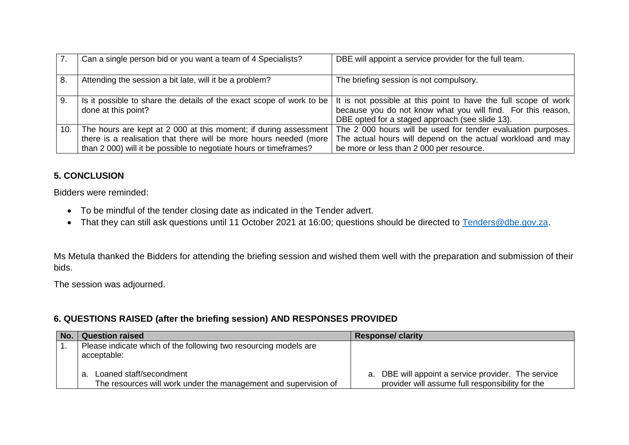|     | Can a single person bid or you want a team of 4 Specialists?                                                                                                                                                 | DBE will appoint a service provider for the full team.                                                                                                                               |
|-----|--------------------------------------------------------------------------------------------------------------------------------------------------------------------------------------------------------------|--------------------------------------------------------------------------------------------------------------------------------------------------------------------------------------|
| -8. | Attending the session a bit late, will it be a problem?                                                                                                                                                      | The briefing session is not compulsory.                                                                                                                                              |
| 9.  | Is it possible to share the details of the exact scope of work to be  <br>done at this point?                                                                                                                | It is not possible at this point to have the full scope of work<br>because you do not know what you will find. For this reason,  <br>DBE opted for a staged approach (see slide 13). |
| 10. | The hours are kept at 2 000 at this moment; if during assessment  <br>there is a realisation that there will be more hours needed (more<br>than 2 000) will it be possible to negotiate hours or timeframes? | The 2 000 hours will be used for tender evaluation purposes.<br>The actual hours will depend on the actual workload and may<br>be more or less than 2 000 per resource.              |

## **5. CONCLUSION**

Bidders were reminded:

- To be mindful of the tender closing date as indicated in the Tender advert.
- That they can still ask questions until 11 October 2021 at 16:00; questions should be directed to [Tenders@dbe.gov.za.](mailto:Tenders@dbe.gov.za)

Ms Metula thanked the Bidders for attending the briefing session and wished them well with the preparation and submission of their bids.

The session was adjourned.

## **6. QUESTIONS RAISED (after the briefing session) AND RESPONSES PROVIDED**

| No. | <b>Question raised</b>                                                                          | <b>Response/clarity</b>                                                                                 |
|-----|-------------------------------------------------------------------------------------------------|---------------------------------------------------------------------------------------------------------|
|     | Please indicate which of the following two resourcing models are<br>acceptable:                 |                                                                                                         |
|     | Loaned staff/secondment<br>a<br>The resources will work under the management and supervision of | a. DBE will appoint a service provider. The service<br>provider will assume full responsibility for the |